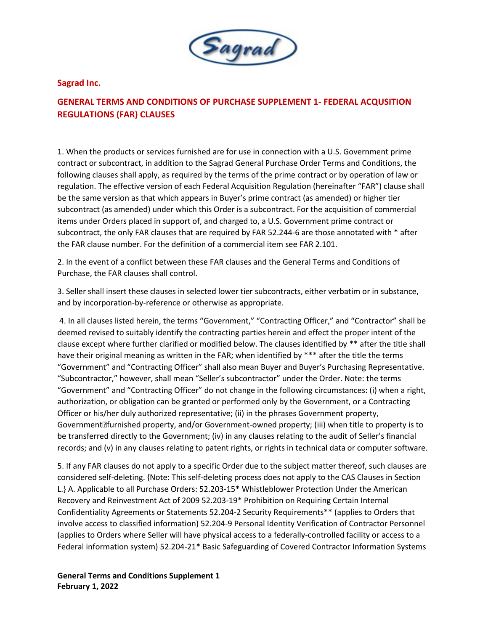

## **Sagrad Inc.**

## **GENERAL TERMS AND CONDITIONS OF PURCHASE SUPPLEMENT 1- FEDERAL ACQUSITION REGULATIONS (FAR) CLAUSES**

1. When the products or services furnished are for use in connection with a U.S. Government prime contract or subcontract, in addition to the Sagrad General Purchase Order Terms and Conditions, the following clauses shall apply, as required by the terms of the prime contract or by operation of law or regulation. The effective version of each Federal Acquisition Regulation (hereinafter "FAR") clause shall be the same version as that which appears in Buyer's prime contract (as amended) or higher tier subcontract (as amended) under which this Order is a subcontract. For the acquisition of commercial items under Orders placed in support of, and charged to, a U.S. Government prime contract or subcontract, the only FAR clauses that are required by FAR 52.244-6 are those annotated with \* after the FAR clause number. For the definition of a commercial item see FAR 2.101.

2. In the event of a conflict between these FAR clauses and the General Terms and Conditions of Purchase, the FAR clauses shall control.

3. Seller shall insert these clauses in selected lower tier subcontracts, either verbatim or in substance, and by incorporation-by-reference or otherwise as appropriate.

4. In all clauses listed herein, the terms "Government," "Contracting Officer," and "Contractor" shall be deemed revised to suitably identify the contracting parties herein and effect the proper intent of the clause except where further clarified or modified below. The clauses identified by \*\* after the title shall have their original meaning as written in the FAR; when identified by \*\*\* after the title the terms "Government" and "Contracting Officer" shall also mean Buyer and Buyer's Purchasing Representative. "Subcontractor," however, shall mean "Seller's subcontractor" under the Order. Note: the terms "Government" and "Contracting Officer" do not change in the following circumstances: (i) when a right, authorization, or obligation can be granted or performed only by the Government, or a Contracting Officer or his/her duly authorized representative; (ii) in the phrases Government property, Government<sup>m</sup> furnished property, and/or Government-owned property; (iii) when title to property is to be transferred directly to the Government; (iv) in any clauses relating to the audit of Seller's financial records; and (v) in any clauses relating to patent rights, or rights in technical data or computer software.

5. If any FAR clauses do not apply to a specific Order due to the subject matter thereof, such clauses are considered self-deleting. {Note: This self-deleting process does not apply to the CAS Clauses in Section L.} A. Applicable to all Purchase Orders: 52.203-15\* Whistleblower Protection Under the American Recovery and Reinvestment Act of 2009 52.203-19\* Prohibition on Requiring Certain Internal Confidentiality Agreements or Statements 52.204-2 Security Requirements\*\* (applies to Orders that involve access to classified information) 52.204-9 Personal Identity Verification of Contractor Personnel (applies to Orders where Seller will have physical access to a federally-controlled facility or access to a Federal information system) 52.204-21\* Basic Safeguarding of Covered Contractor Information Systems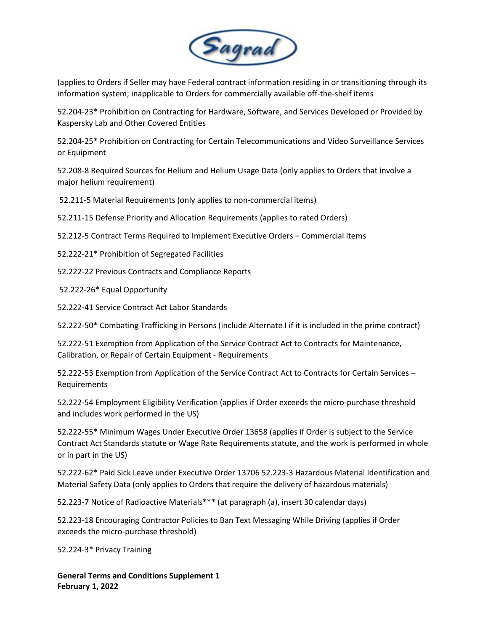

(applies to Orders if Seller may have Federal contract information residing in or transitioning through its information system; inapplicable to Orders for commercially available off-the-shelf items

52.204-23\* Prohibition on Contracting for Hardware, Software, and Services Developed or Provided by Kaspersky Lab and Other Covered Entities

52.204-25\* Prohibition on Contracting for Certain Telecommunications and Video Surveillance Services or Equipment

52.208-8 Required Sources for Helium and Helium Usage Data (only applies to Orders that involve a major helium requirement)

52.211-5 Material Requirements (only applies to non-commercial items)

52.211-15 Defense Priority and Allocation Requirements (applies to rated Orders)

52.212-5 Contract Terms Required to Implement Executive Orders – Commercial Items

52.222-21\* Prohibition of Segregated Facilities

52.222-22 Previous Contracts and Compliance Reports

52.222-26\* Equal Opportunity

52.222-41 Service Contract Act Labor Standards

52.222-50\* Combating Trafficking in Persons (include Alternate I if it is included in the prime contract)

52.222-51 Exemption from Application of the Service Contract Act to Contracts for Maintenance, Calibration, or Repair of Certain Equipment - Requirements

52.222-53 Exemption from Application of the Service Contract Act to Contracts for Certain Services – Requirements

52.222-54 Employment Eligibility Verification (applies if Order exceeds the micro-purchase threshold and includes work performed in the US)

52.222-55\* Minimum Wages Under Executive Order 13658 (applies if Order is subject to the Service Contract Act Standards statute or Wage Rate Requirements statute, and the work is performed in whole or in part in the US)

52.222-62\* Paid Sick Leave under Executive Order 13706 52.223-3 Hazardous Material Identification and Material Safety Data (only applies to Orders that require the delivery of hazardous materials)

52.223-7 Notice of Radioactive Materials\*\*\* (at paragraph (a), insert 30 calendar days)

52.223-18 Encouraging Contractor Policies to Ban Text Messaging While Driving (applies if Order exceeds the micro-purchase threshold)

52.224-3\* Privacy Training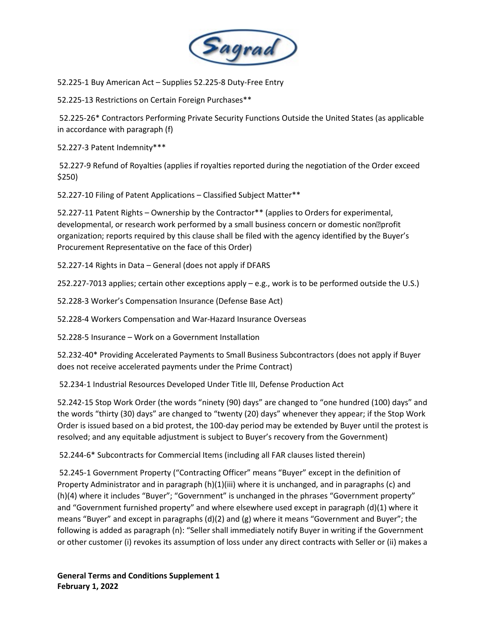

52.225-1 Buy American Act – Supplies 52.225-8 Duty-Free Entry

52.225-13 Restrictions on Certain Foreign Purchases\*\*

52.225-26\* Contractors Performing Private Security Functions Outside the United States (as applicable in accordance with paragraph (f)

52.227-3 Patent Indemnity\*\*\*

52.227-9 Refund of Royalties (applies if royalties reported during the negotiation of the Order exceed \$250)

52.227-10 Filing of Patent Applications – Classified Subject Matter\*\*

52.227-11 Patent Rights – Ownership by the Contractor\*\* (applies to Orders for experimental, developmental, or research work performed by a small business concern or domestic non<sup>m</sup> profit organization; reports required by this clause shall be filed with the agency identified by the Buyer's Procurement Representative on the face of this Order)

52.227-14 Rights in Data – General (does not apply if DFARS

252.227-7013 applies; certain other exceptions apply – e.g., work is to be performed outside the U.S.)

52.228-3 Worker's Compensation Insurance (Defense Base Act)

52.228-4 Workers Compensation and War-Hazard Insurance Overseas

52.228-5 Insurance – Work on a Government Installation

52.232-40\* Providing Accelerated Payments to Small Business Subcontractors (does not apply if Buyer does not receive accelerated payments under the Prime Contract)

52.234-1 Industrial Resources Developed Under Title III, Defense Production Act

52.242-15 Stop Work Order (the words "ninety (90) days" are changed to "one hundred (100) days" and the words "thirty (30) days" are changed to "twenty (20) days" whenever they appear; if the Stop Work Order is issued based on a bid protest, the 100-day period may be extended by Buyer until the protest is resolved; and any equitable adjustment is subject to Buyer's recovery from the Government)

52.244-6\* Subcontracts for Commercial Items (including all FAR clauses listed therein)

52.245-1 Government Property ("Contracting Officer" means "Buyer" except in the definition of Property Administrator and in paragraph (h)(1)(iii) where it is unchanged, and in paragraphs (c) and (h)(4) where it includes "Buyer"; "Government" is unchanged in the phrases "Government property" and "Government furnished property" and where elsewhere used except in paragraph (d)(1) where it means "Buyer" and except in paragraphs (d)(2) and (g) where it means "Government and Buyer"; the following is added as paragraph (n): "Seller shall immediately notify Buyer in writing if the Government or other customer (i) revokes its assumption of loss under any direct contracts with Seller or (ii) makes a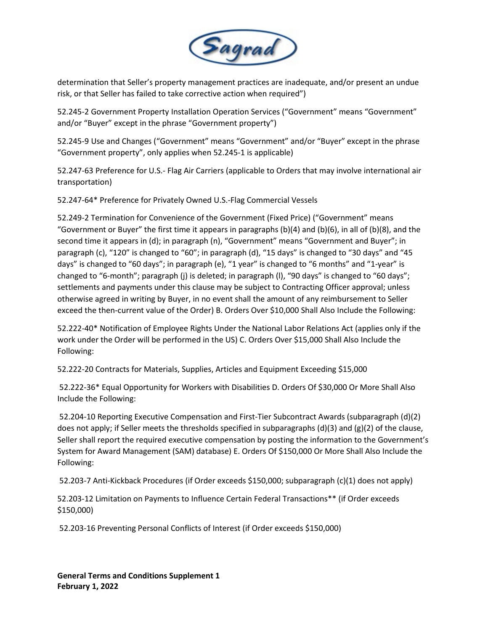

determination that Seller's property management practices are inadequate, and/or present an undue risk, or that Seller has failed to take corrective action when required")

52.245-2 Government Property Installation Operation Services ("Government" means "Government" and/or "Buyer" except in the phrase "Government property")

52.245-9 Use and Changes ("Government" means "Government" and/or "Buyer" except in the phrase "Government property", only applies when 52.245-1 is applicable)

52.247-63 Preference for U.S.- Flag Air Carriers (applicable to Orders that may involve international air transportation)

52.247-64\* Preference for Privately Owned U.S.-Flag Commercial Vessels

52.249-2 Termination for Convenience of the Government (Fixed Price) ("Government" means "Government or Buyer" the first time it appears in paragraphs  $(b)(4)$  and  $(b)(6)$ , in all of  $(b)(8)$ , and the second time it appears in (d); in paragraph (n), "Government" means "Government and Buyer"; in paragraph (c), "120" is changed to "60"; in paragraph (d), "15 days" is changed to "30 days" and "45 days" is changed to "60 days"; in paragraph (e), "1 year" is changed to "6 months" and "1-year" is changed to "6-month"; paragraph (j) is deleted; in paragraph (l), "90 days" is changed to "60 days"; settlements and payments under this clause may be subject to Contracting Officer approval; unless otherwise agreed in writing by Buyer, in no event shall the amount of any reimbursement to Seller exceed the then-current value of the Order) B. Orders Over \$10,000 Shall Also Include the Following:

52.222-40\* Notification of Employee Rights Under the National Labor Relations Act (applies only if the work under the Order will be performed in the US) C. Orders Over \$15,000 Shall Also Include the Following:

52.222-20 Contracts for Materials, Supplies, Articles and Equipment Exceeding \$15,000

52.222-36\* Equal Opportunity for Workers with Disabilities D. Orders Of \$30,000 Or More Shall Also Include the Following:

52.204-10 Reporting Executive Compensation and First-Tier Subcontract Awards (subparagraph (d)(2) does not apply; if Seller meets the thresholds specified in subparagraphs  $(d)(3)$  and  $(g)(2)$  of the clause, Seller shall report the required executive compensation by posting the information to the Government's System for Award Management (SAM) database) E. Orders Of \$150,000 Or More Shall Also Include the Following:

52.203-7 Anti-Kickback Procedures (if Order exceeds \$150,000; subparagraph (c)(1) does not apply)

52.203-12 Limitation on Payments to Influence Certain Federal Transactions\*\* (if Order exceeds \$150,000)

52.203-16 Preventing Personal Conflicts of Interest (if Order exceeds \$150,000)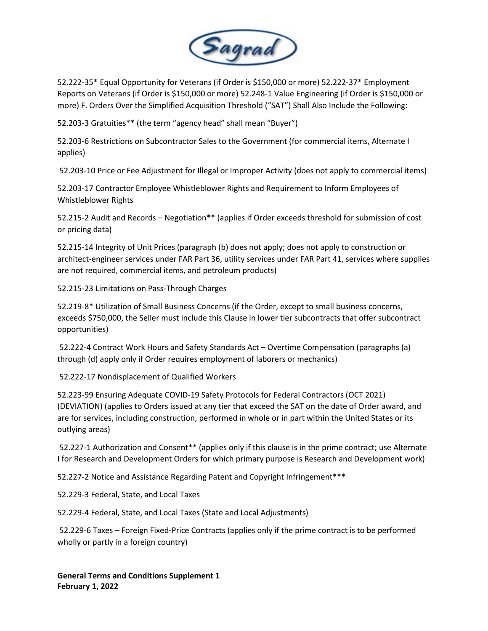

52.222-35\* Equal Opportunity for Veterans (if Order is \$150,000 or more) 52.222-37\* Employment Reports on Veterans (if Order is \$150,000 or more) 52.248-1 Value Engineering (if Order is \$150,000 or more) F. Orders Over the Simplified Acquisition Threshold ("SAT") Shall Also Include the Following:

52.203-3 Gratuities\*\* (the term "agency head" shall mean "Buyer")

52.203-6 Restrictions on Subcontractor Sales to the Government (for commercial items, Alternate I applies)

52.203-10 Price or Fee Adjustment for Illegal or Improper Activity (does not apply to commercial items)

52.203-17 Contractor Employee Whistleblower Rights and Requirement to Inform Employees of Whistleblower Rights

52.215-2 Audit and Records – Negotiation\*\* (applies if Order exceeds threshold for submission of cost or pricing data)

52.215-14 Integrity of Unit Prices (paragraph (b) does not apply; does not apply to construction or architect-engineer services under FAR Part 36, utility services under FAR Part 41, services where supplies are not required, commercial items, and petroleum products)

52.215-23 Limitations on Pass-Through Charges

52.219-8\* Utilization of Small Business Concerns (if the Order, except to small business concerns, exceeds \$750,000, the Seller must include this Clause in lower tier subcontracts that offer subcontract opportunities)

52.222-4 Contract Work Hours and Safety Standards Act – Overtime Compensation (paragraphs (a) through (d) apply only if Order requires employment of laborers or mechanics)

52.222-17 Nondisplacement of Qualified Workers

52.223-99 Ensuring Adequate COVID-19 Safety Protocols for Federal Contractors (OCT 2021) (DEVIATION) (applies to Orders issued at any tier that exceed the SAT on the date of Order award, and are for services, including construction, performed in whole or in part within the United States or its outlying areas)

52.227-1 Authorization and Consent\*\* (applies only if this clause is in the prime contract; use Alternate I for Research and Development Orders for which primary purpose is Research and Development work)

52.227-2 Notice and Assistance Regarding Patent and Copyright Infringement\*\*\*

52.229-3 Federal, State, and Local Taxes

52.229-4 Federal, State, and Local Taxes (State and Local Adjustments)

52.229-6 Taxes – Foreign Fixed-Price Contracts (applies only if the prime contract is to be performed wholly or partly in a foreign country)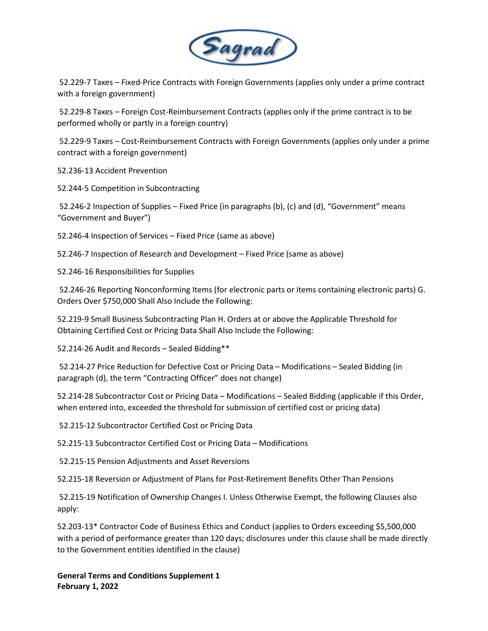

52.229-7 Taxes – Fixed-Price Contracts with Foreign Governments (applies only under a prime contract with a foreign government)

52.229-8 Taxes – Foreign Cost-Reimbursement Contracts (applies only if the prime contract is to be performed wholly or partly in a foreign country)

52.229-9 Taxes – Cost-Reimbursement Contracts with Foreign Governments (applies only under a prime contract with a foreign government)

52.236-13 Accident Prevention

52.244-5 Competition in Subcontracting

52.246-2 Inspection of Supplies – Fixed Price (in paragraphs (b), (c) and (d), "Government" means "Government and Buyer")

52.246-4 Inspection of Services – Fixed Price (same as above)

52.246-7 Inspection of Research and Development – Fixed Price (same as above)

52.246-16 Responsibilities for Supplies

52.246-26 Reporting Nonconforming Items (for electronic parts or items containing electronic parts) G. Orders Over \$750,000 Shall Also Include the Following:

52.219-9 Small Business Subcontracting Plan H. Orders at or above the Applicable Threshold for Obtaining Certified Cost or Pricing Data Shall Also Include the Following:

52.214-26 Audit and Records – Sealed Bidding\*\*

52.214-27 Price Reduction for Defective Cost or Pricing Data – Modifications – Sealed Bidding (in paragraph (d), the term "Contracting Officer" does not change)

52.214-28 Subcontractor Cost or Pricing Data – Modifications – Sealed Bidding (applicable if this Order, when entered into, exceeded the threshold for submission of certified cost or pricing data)

52.215-12 Subcontractor Certified Cost or Pricing Data

52.215-13 Subcontractor Certified Cost or Pricing Data – Modifications

52.215-15 Pension Adjustments and Asset Reversions

52.215-18 Reversion or Adjustment of Plans for Post-Retirement Benefits Other Than Pensions

52.215-19 Notification of Ownership Changes I. Unless Otherwise Exempt, the following Clauses also apply:

52.203-13\* Contractor Code of Business Ethics and Conduct (applies to Orders exceeding \$5,500,000 with a period of performance greater than 120 days; disclosures under this clause shall be made directly to the Government entities identified in the clause)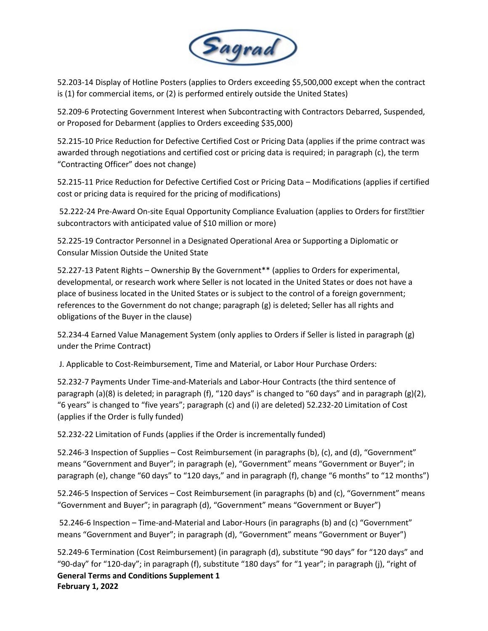

52.203-14 Display of Hotline Posters (applies to Orders exceeding \$5,500,000 except when the contract is (1) for commercial items, or (2) is performed entirely outside the United States)

52.209-6 Protecting Government Interest when Subcontracting with Contractors Debarred, Suspended, or Proposed for Debarment (applies to Orders exceeding \$35,000)

52.215-10 Price Reduction for Defective Certified Cost or Pricing Data (applies if the prime contract was awarded through negotiations and certified cost or pricing data is required; in paragraph (c), the term "Contracting Officer" does not change)

52.215-11 Price Reduction for Defective Certified Cost or Pricing Data – Modifications (applies if certified cost or pricing data is required for the pricing of modifications)

52.222-24 Pre-Award On-site Equal Opportunity Compliance Evaluation (applies to Orders for first<sup>h</sup>tier subcontractors with anticipated value of \$10 million or more)

52.225-19 Contractor Personnel in a Designated Operational Area or Supporting a Diplomatic or Consular Mission Outside the United State

52.227-13 Patent Rights – Ownership By the Government\*\* (applies to Orders for experimental, developmental, or research work where Seller is not located in the United States or does not have a place of business located in the United States or is subject to the control of a foreign government; references to the Government do not change; paragraph (g) is deleted; Seller has all rights and obligations of the Buyer in the clause)

52.234-4 Earned Value Management System (only applies to Orders if Seller is listed in paragraph (g) under the Prime Contract)

J. Applicable to Cost-Reimbursement, Time and Material, or Labor Hour Purchase Orders:

52.232-7 Payments Under Time-and-Materials and Labor-Hour Contracts (the third sentence of paragraph (a)(8) is deleted; in paragraph (f), "120 days" is changed to "60 days" and in paragraph (g)(2), "6 years" is changed to "five years"; paragraph (c) and (i) are deleted) 52.232-20 Limitation of Cost (applies if the Order is fully funded)

52.232-22 Limitation of Funds (applies if the Order is incrementally funded)

52.246-3 Inspection of Supplies – Cost Reimbursement (in paragraphs (b), (c), and (d), "Government" means "Government and Buyer"; in paragraph (e), "Government" means "Government or Buyer"; in paragraph (e), change "60 days" to "120 days," and in paragraph (f), change "6 months" to "12 months")

52.246-5 Inspection of Services – Cost Reimbursement (in paragraphs (b) and (c), "Government" means "Government and Buyer"; in paragraph (d), "Government" means "Government or Buyer")

52.246-6 Inspection – Time-and-Material and Labor-Hours (in paragraphs (b) and (c) "Government" means "Government and Buyer"; in paragraph (d), "Government" means "Government or Buyer")

**General Terms and Conditions Supplement 1 February 1, 2022** 52.249-6 Termination (Cost Reimbursement) (in paragraph (d), substitute "90 days" for "120 days" and "90-day" for "120-day"; in paragraph (f), substitute "180 days" for "1 year"; in paragraph (j), "right of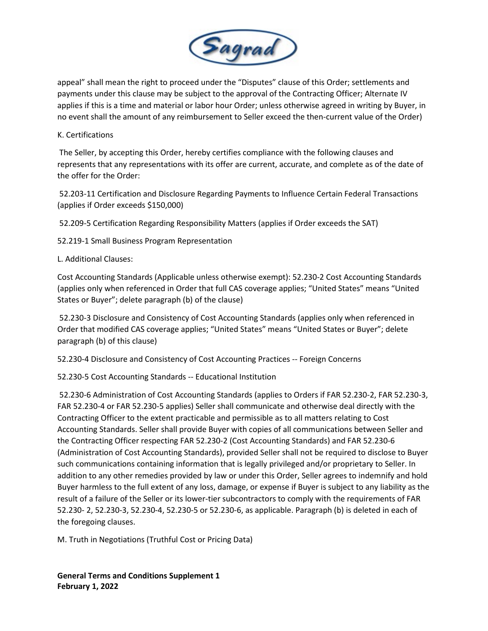

appeal" shall mean the right to proceed under the "Disputes" clause of this Order; settlements and payments under this clause may be subject to the approval of the Contracting Officer; Alternate IV applies if this is a time and material or labor hour Order; unless otherwise agreed in writing by Buyer, in no event shall the amount of any reimbursement to Seller exceed the then-current value of the Order)

## K. Certifications

The Seller, by accepting this Order, hereby certifies compliance with the following clauses and represents that any representations with its offer are current, accurate, and complete as of the date of the offer for the Order:

52.203-11 Certification and Disclosure Regarding Payments to Influence Certain Federal Transactions (applies if Order exceeds \$150,000)

52.209-5 Certification Regarding Responsibility Matters (applies if Order exceeds the SAT)

52.219-1 Small Business Program Representation

## L. Additional Clauses:

Cost Accounting Standards (Applicable unless otherwise exempt): 52.230-2 Cost Accounting Standards (applies only when referenced in Order that full CAS coverage applies; "United States" means "United States or Buyer"; delete paragraph (b) of the clause)

52.230-3 Disclosure and Consistency of Cost Accounting Standards (applies only when referenced in Order that modified CAS coverage applies; "United States" means "United States or Buyer"; delete paragraph (b) of this clause)

52.230-4 Disclosure and Consistency of Cost Accounting Practices -- Foreign Concerns

52.230-5 Cost Accounting Standards -- Educational Institution

52.230-6 Administration of Cost Accounting Standards (applies to Orders if FAR 52.230-2, FAR 52.230-3, FAR 52.230-4 or FAR 52.230-5 applies) Seller shall communicate and otherwise deal directly with the Contracting Officer to the extent practicable and permissible as to all matters relating to Cost Accounting Standards. Seller shall provide Buyer with copies of all communications between Seller and the Contracting Officer respecting FAR 52.230-2 (Cost Accounting Standards) and FAR 52.230-6 (Administration of Cost Accounting Standards), provided Seller shall not be required to disclose to Buyer such communications containing information that is legally privileged and/or proprietary to Seller. In addition to any other remedies provided by law or under this Order, Seller agrees to indemnify and hold Buyer harmless to the full extent of any loss, damage, or expense if Buyer is subject to any liability as the result of a failure of the Seller or its lower-tier subcontractors to comply with the requirements of FAR 52.230- 2, 52.230-3, 52.230-4, 52.230-5 or 52.230-6, as applicable. Paragraph (b) is deleted in each of the foregoing clauses.

M. Truth in Negotiations (Truthful Cost or Pricing Data)